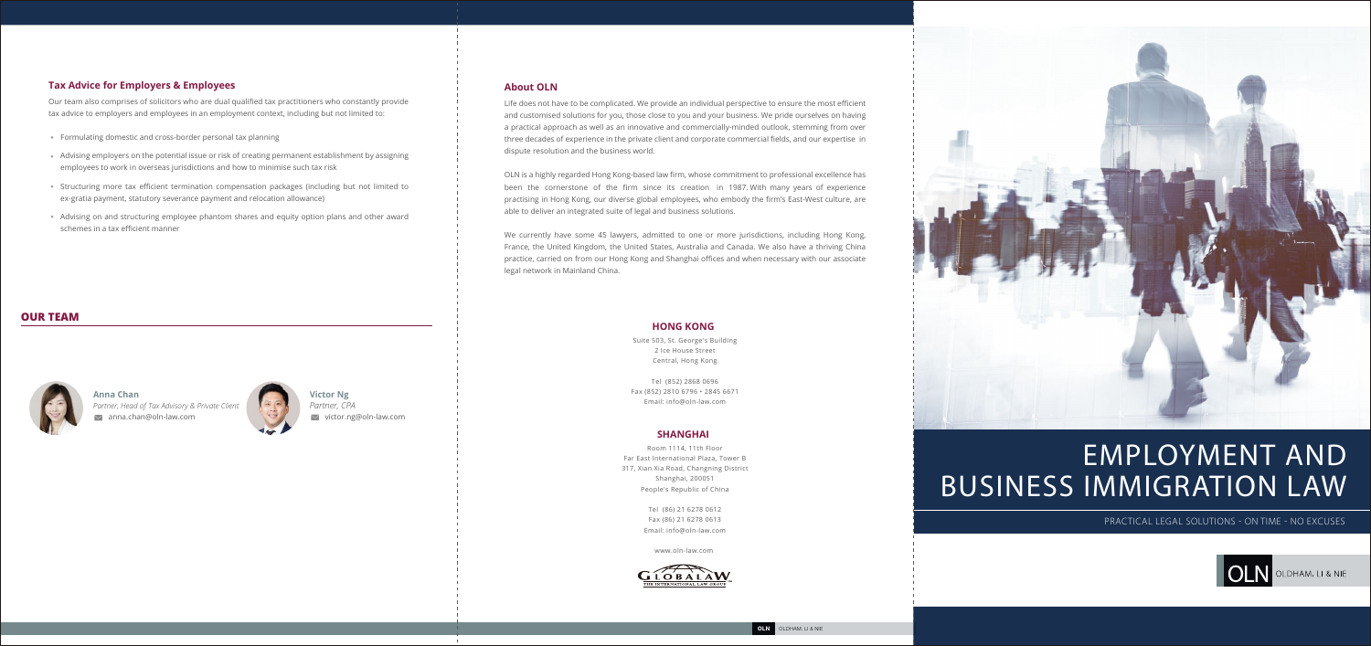# EMPLOYMENT AND BUSINESS IMMIGRATION LAW

PRACTICAL LEGAL SOLUTIONS - ON TIME - NO EXCUSES



**OLDHAM, LI & NIE** 

### **Tax Advice for Employers & Employees**

Our team also comprises of solicitors who are dual qualified tax practitioners who constantly provide tax advice to employers and employees in an employment context, including but not limited to:

- Formulating domestic and cross-border personal tax planning
- Advising employers on the potential issue or risk of creating permanent establishment by assigning employees to work in overseas jurisdictions and how to minimise such tax risk
- Structuring more tax efficient termination compensation packages (including but not limited to ex-gratia payment, statutory severance payment and relocation allowance)
- Advising on and structuring employee phantom shares and equity option plans and other award schemes in a tax efficient manner



## **OUR TEAM**



Room 1114, 11th Floor Far East International Plaza, Tower B 317, Xian Xia Road, Changning District Shanghai, 200051 People's Republic of China

> Tel (86) 21 6278 0612 Fax (86) 21 6278 0613 Email: info@oln-law.com

> > www.oln-law.com



### **SHANGHAI**

Suite 503, St. George's Building 2 Ice House Street Central, Hong Kong

Tel (852) 2868 0696 Fax (852) 2810 6796 • 2845 6671 Email: info@oln-law.com

### **HONG KONG**

### **About OLN**

Life does not have to be complicated. We provide an individual perspective to ensure the most efficient and customised solutions for you, those close to you and your business. We pride ourselves on having a practical approach as well as an innovative and commercially-minded outlook, stemming from over three decades of experience in the private client and corporate commercial fields, and our expertise in dispute resolution and the business world.

**Victor Ng**   $\vee$  victor.ng@oln-law.com *Partner, CPA*

anna.chan@oln-law.com **Anna Chan**  *Partner, Head of Tax Advisory & Private Client* 



OLN is a highly regarded Hong Kong-based law firm, whose commitment to professional excellence has been the cornerstone of the firm since its creation in 1987. With many years of experience practising in Hong Kong, our diverse global employees, who embody the firm's East-West culture, are able to deliver an integrated suite of legal and business solutions.

We currently have some 45 lawyers, admitted to one or more jurisdictions, including Hong Kong, France, the United Kingdom, the United States, Australia and Canada. We also have a thriving China practice, carried on from our Hong Kong and Shanghai offices and when necessary with our associate legal network in Mainland China.